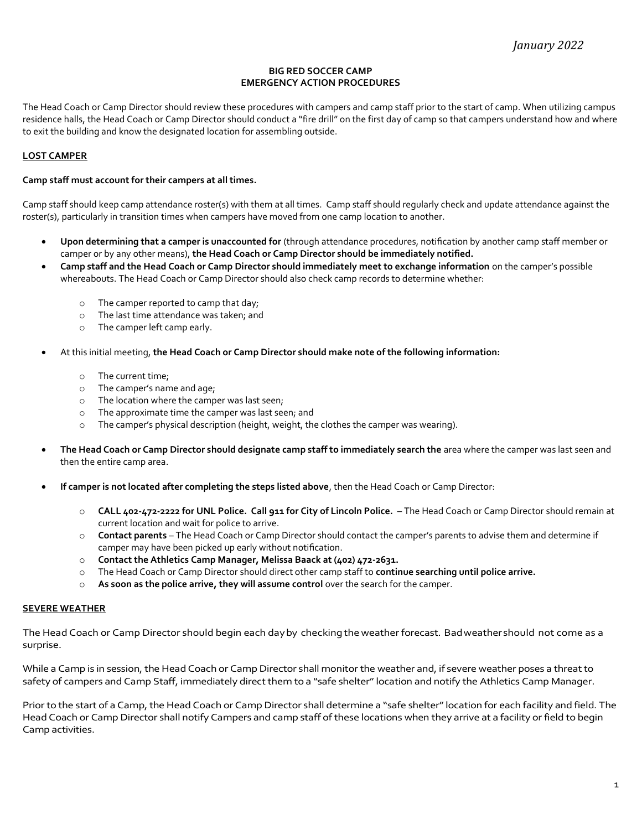## BIG RED SOCCER CAMP EMERGENCY ACTION PROCEDURES

The Head Coach or Camp Director should review these procedures with campers and camp staff prior to the start of camp. When utilizing campus residence halls, the Head Coach or Camp Director should conduct a "fire drill" on the first day of camp so that campers understand how and where to exit the building and know the designated location for assembling outside.

## LOST CAMPER

#### Camp staff must account for their campers at all times.

Camp staff should keep camp attendance roster(s) with them at all times. Camp staff should regularly check and update attendance against the roster(s), particularly in transition times when campers have moved from one camp location to another.

- Upon determining that a camper is unaccounted for (through attendance procedures, notification by another camp staff member or camper or by any other means), the Head Coach or Camp Director should be immediately notified.
- Camp staff and the Head Coach or Camp Director should immediately meet to exchange information on the camper's possible whereabouts. The Head Coach or Camp Director should also check camp records to determine whether:
	- o The camper reported to camp that day;
	- o The last time attendance was taken; and
	- o The camper left camp early.
- At this initial meeting, the Head Coach or Camp Director should make note of the following information:
	- o The current time;
	- o The camper's name and age;
	- o The location where the camper was last seen;
	- o The approximate time the camper was last seen; and
	- o The camper's physical description (height, weight, the clothes the camper was wearing).
- The Head Coach or Camp Director should designate camp staff to immediately search the area where the camper was last seen and then the entire camp area.
- If camper is not located after completing the steps listed above, then the Head Coach or Camp Director:
	- o CALL 402-472-2222 for UNL Police. Call 911 for City of Lincoln Police. The Head Coach or Camp Director should remain at current location and wait for police to arrive.
	- o Contact parents The Head Coach or Camp Director should contact the camper's parents to advise them and determine if camper may have been picked up early without notification.
	- o Contact the Athletics Camp Manager, Melissa Baack at (402) 472-2631.
	- o The Head Coach or Camp Director should direct other camp staff to continue searching until police arrive.
	- $\circ$  As soon as the police arrive, they will assume control over the search for the camper.

#### SEVERE WEATHER

The Head Coach or Camp Director should begin each day by checking the weather forecast. Bad weather should not come as a surprise.

While a Camp is in session, the Head Coach or Camp Director shall monitor the weather and, if severe weather poses a threat to safety of campers and Camp Staff, immediately direct them to a "safe shelter" location and notify the Athletics Camp Manager.

Prior to the start of a Camp, the Head Coach or Camp Director shall determine a "safe shelter" location for each facility and field. The Head Coach or Camp Director shall notify Campers and camp staff of these locations when they arrive at a facility or field to begin Camp activities.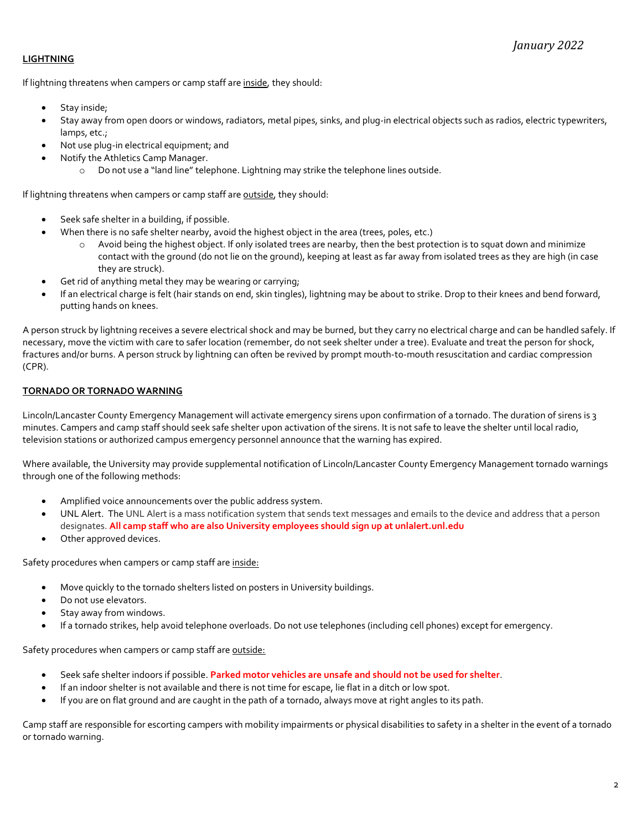# **LIGHTNING**

If lightning threatens when campers or camp staff are inside, they should:

- Stay inside;
- Stay away from open doors or windows, radiators, metal pipes, sinks, and plug-in electrical objects such as radios, electric typewriters, lamps, etc.;
- Not use plug-in electrical equipment; and
- Notify the Athletics Camp Manager.
	- o Do not use a "land line" telephone. Lightning may strike the telephone lines outside.

If lightning threatens when campers or camp staff are outside, they should:

- Seek safe shelter in a building, if possible.
- When there is no safe shelter nearby, avoid the highest object in the area (trees, poles, etc.)
	- $\circ$  Avoid being the highest object. If only isolated trees are nearby, then the best protection is to squat down and minimize contact with the ground (do not lie on the ground), keeping at least as far away from isolated trees as they are high (in case they are struck).
- Get rid of anything metal they may be wearing or carrying;
- If an electrical charge is felt (hair stands on end, skin tingles), lightning may be about to strike. Drop to their knees and bend forward, putting hands on knees.

A person struck by lightning receives a severe electrical shock and may be burned, but they carry no electrical charge and can be handled safely. If necessary, move the victim with care to safer location (remember, do not seek shelter under a tree). Evaluate and treat the person for shock, fractures and/or burns. A person struck by lightning can often be revived by prompt mouth-to-mouth resuscitation and cardiac compression (CPR).

# TORNADO OR TORNADO WARNING

Lincoln/Lancaster County Emergency Management will activate emergency sirens upon confirmation of a tornado. The duration of sirens is 3 minutes. Campers and camp staff should seek safe shelter upon activation of the sirens. It is not safe to leave the shelter until local radio, television stations or authorized campus emergency personnel announce that the warning has expired.

Where available, the University may provide supplemental notification of Lincoln/Lancaster County Emergency Management tornado warnings through one of the following methods:

- Amplified voice announcements over the public address system.
- UNL Alert. The UNL Alert is a mass notification system that sends text messages and emails to the device and address that a person designates. All camp staff who are also University employees should sign up at unlalert.unl.edu
- Other approved devices.

Safety procedures when campers or camp staff are inside:

- Move quickly to the tornado shelters listed on posters in University buildings.
- Do not use elevators.
- Stay away from windows.
- If a tornado strikes, help avoid telephone overloads. Do not use telephones (including cell phones) except for emergency.

Safety procedures when campers or camp staff are outside:

- Seek safe shelter indoors if possible. Parked motor vehicles are unsafe and should not be used for shelter.
- If an indoor shelter is not available and there is not time for escape, lie flat in a ditch or low spot.
- If you are on flat ground and are caught in the path of a tornado, always move at right angles to its path.

Camp staff are responsible for escorting campers with mobility impairments or physical disabilities to safety in a shelter in the event of a tornado or tornado warning.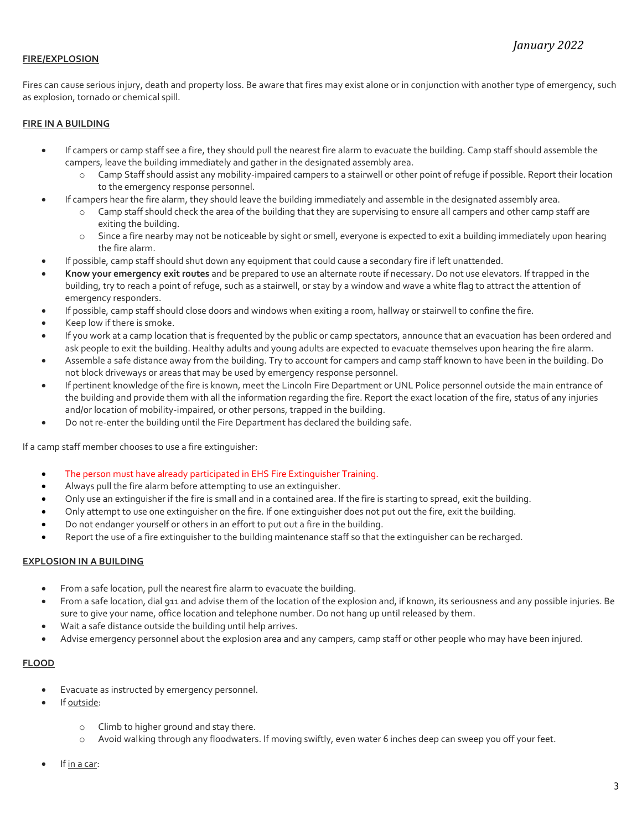## FIRE/EXPLOSION

Fires can cause serious injury, death and property loss. Be aware that fires may exist alone or in conjunction with another type of emergency, such as explosion, tornado or chemical spill.

## FIRE IN A BUILDING

- If campers or camp staff see a fire, they should pull the nearest fire alarm to evacuate the building. Camp staff should assemble the campers, leave the building immediately and gather in the designated assembly area.
	- o Camp Staff should assist any mobility-impaired campers to a stairwell or other point of refuge if possible. Report their location to the emergency response personnel.
- If campers hear the fire alarm, they should leave the building immediately and assemble in the designated assembly area.
	- o Camp staff should check the area of the building that they are supervising to ensure all campers and other camp staff are exiting the building.
	- o Since a fire nearby may not be noticeable by sight or smell, everyone is expected to exit a building immediately upon hearing the fire alarm.
- If possible, camp staff should shut down any equipment that could cause a secondary fire if left unattended.
- Know your emergency exit routes and be prepared to use an alternate route if necessary. Do not use elevators. If trapped in the building, try to reach a point of refuge, such as a stairwell, or stay by a window and wave a white flag to attract the attention of emergency responders.
- If possible, camp staff should close doors and windows when exiting a room, hallway or stairwell to confine the fire.
- Keep low if there is smoke.
- If you work at a camp location that is frequented by the public or camp spectators, announce that an evacuation has been ordered and ask people to exit the building. Healthy adults and young adults are expected to evacuate themselves upon hearing the fire alarm.
- Assemble a safe distance away from the building. Try to account for campers and camp staff known to have been in the building. Do not block driveways or areas that may be used by emergency response personnel.
- If pertinent knowledge of the fire is known, meet the Lincoln Fire Department or UNL Police personnel outside the main entrance of the building and provide them with all the information regarding the fire. Report the exact location of the fire, status of any injuries and/or location of mobility-impaired, or other persons, trapped in the building.
- Do not re-enter the building until the Fire Department has declared the building safe.

If a camp staff member chooses to use a fire extinguisher:

- The person must have already participated in EHS Fire Extinguisher Training.
- Always pull the fire alarm before attempting to use an extinguisher.
- Only use an extinguisher if the fire is small and in a contained area. If the fire is starting to spread, exit the building.
- Only attempt to use one extinguisher on the fire. If one extinguisher does not put out the fire, exit the building.
- Do not endanger yourself or others in an effort to put out a fire in the building.
- Report the use of a fire extinguisher to the building maintenance staff so that the extinguisher can be recharged.

## EXPLOSION IN A BUILDING

- From a safe location, pull the nearest fire alarm to evacuate the building.
- From a safe location, dial 911 and advise them of the location of the explosion and, if known, its seriousness and any possible injuries. Be sure to give your name, office location and telephone number. Do not hang up until released by them.
- Wait a safe distance outside the building until help arrives.
- Advise emergency personnel about the explosion area and any campers, camp staff or other people who may have been injured.

# FLOOD

- Evacuate as instructed by emergency personnel.
- If outside:
	- o Climb to higher ground and stay there.
	- Avoid walking through any floodwaters. If moving swiftly, even water 6 inches deep can sweep you off your feet.
- If in a car: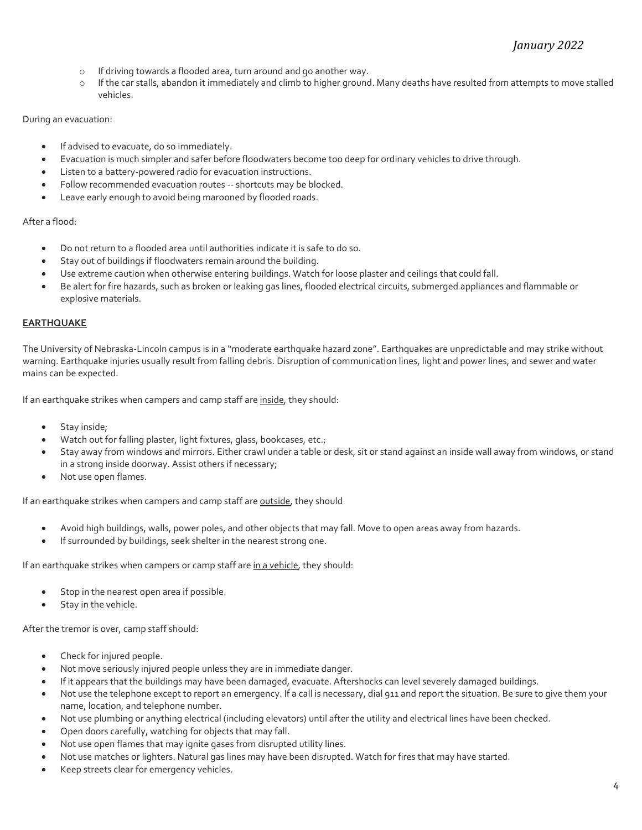- o If driving towards a flooded area, turn around and go another way.
- o If the car stalls, abandon it immediately and climb to higher ground. Many deaths have resulted from attempts to move stalled vehicles.

# During an evacuation:

- If advised to evacuate, do so immediately.
- Evacuation is much simpler and safer before floodwaters become too deep for ordinary vehicles to drive through.
- Listen to a battery-powered radio for evacuation instructions.
- Follow recommended evacuation routes -- shortcuts may be blocked.
- Leave early enough to avoid being marooned by flooded roads.

## After a flood:

- Do not return to a flooded area until authorities indicate it is safe to do so.
- Stay out of buildings if floodwaters remain around the building.
- Use extreme caution when otherwise entering buildings. Watch for loose plaster and ceilings that could fall.
- Be alert for fire hazards, such as broken or leaking gas lines, flooded electrical circuits, submerged appliances and flammable or explosive materials.

# EARTHQUAKE

The University of Nebraska-Lincoln campus is in a "moderate earthquake hazard zone". Earthquakes are unpredictable and may strike without warning. Earthquake injuries usually result from falling debris. Disruption of communication lines, light and power lines, and sewer and water mains can be expected.

If an earthquake strikes when campers and camp staff are inside, they should:

- Stay inside;
- Watch out for falling plaster, light fixtures, glass, bookcases, etc.;
- Stay away from windows and mirrors. Either crawl under a table or desk, sit or stand against an inside wall away from windows, or stand in a strong inside doorway. Assist others if necessary;
- Not use open flames.

If an earthquake strikes when campers and camp staff are outside, they should

- Avoid high buildings, walls, power poles, and other objects that may fall. Move to open areas away from hazards.
- If surrounded by buildings, seek shelter in the nearest strong one.

If an earthquake strikes when campers or camp staff are in a vehicle, they should:

- Stop in the nearest open area if possible.
- Stay in the vehicle.

After the tremor is over, camp staff should:

- Check for injured people.
- Not move seriously injured people unless they are in immediate danger.
- If it appears that the buildings may have been damaged, evacuate. Aftershocks can level severely damaged buildings.
- Not use the telephone except to report an emergency. If a call is necessary, dial 911 and report the situation. Be sure to give them your name, location, and telephone number.
- Not use plumbing or anything electrical (including elevators) until after the utility and electrical lines have been checked.
- Open doors carefully, watching for objects that may fall.
- Not use open flames that may ignite gases from disrupted utility lines.
- Not use matches or lighters. Natural gas lines may have been disrupted. Watch for fires that may have started.
- Keep streets clear for emergency vehicles.